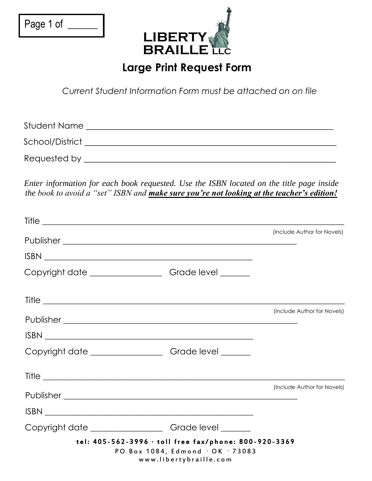| Page 1 of |  |
|-----------|--|
|           |  |



## **Large Print Request Form**

*Current Student Information Form must be attached on on file*

| Student Name    |  |
|-----------------|--|
| School/District |  |
| Requested by    |  |

*Enter information for each book requested. Use the ISBN located on the title page inside the book to avoid a "set" ISBN and make sure you're not looking at the teacher's edition!* 

| Title                                                                                                                                                                                                                                                                                                                                                                             |                             |
|-----------------------------------------------------------------------------------------------------------------------------------------------------------------------------------------------------------------------------------------------------------------------------------------------------------------------------------------------------------------------------------|-----------------------------|
|                                                                                                                                                                                                                                                                                                                                                                                   | (Include Author for Novels) |
| $\begin{picture}(180,10) \put(0,0){\vector(1,0){100}} \put(15,0){\vector(1,0){100}} \put(15,0){\vector(1,0){100}} \put(15,0){\vector(1,0){100}} \put(15,0){\vector(1,0){100}} \put(15,0){\vector(1,0){100}} \put(15,0){\vector(1,0){100}} \put(15,0){\vector(1,0){100}} \put(15,0){\vector(1,0){100}} \put(15,0){\vector(1,0){100}} \put(15,0){\vector(1,0){100}}$                |                             |
| Copyright date _________________________Grade level _________                                                                                                                                                                                                                                                                                                                     |                             |
| Title                                                                                                                                                                                                                                                                                                                                                                             |                             |
|                                                                                                                                                                                                                                                                                                                                                                                   | (Include Author for Novels) |
| $\begin{picture}(180,10) \put(0,0){\dashbox{0.5}(10,0){ }} \put(150,0){\circle{10}} \put(150,0){\circle{10}} \put(150,0){\circle{10}} \put(150,0){\circle{10}} \put(150,0){\circle{10}} \put(150,0){\circle{10}} \put(150,0){\circle{10}} \put(150,0){\circle{10}} \put(150,0){\circle{10}} \put(150,0){\circle{10}} \put(150,0){\circle{10}} \put(150,0){\circle{10}} \put(150,$ |                             |
| Copyright date _______________________Grade level ________                                                                                                                                                                                                                                                                                                                        |                             |
|                                                                                                                                                                                                                                                                                                                                                                                   |                             |
|                                                                                                                                                                                                                                                                                                                                                                                   | (Include Author for Novels) |
|                                                                                                                                                                                                                                                                                                                                                                                   |                             |
| Copyright date ________________________Grade level ________                                                                                                                                                                                                                                                                                                                       |                             |
| tel: 405-562-3996 · toll free fax/phone: 800-920-3369<br>PO Box 1084, Edmond · OK · 73083<br>www.libertybraille.com                                                                                                                                                                                                                                                               |                             |